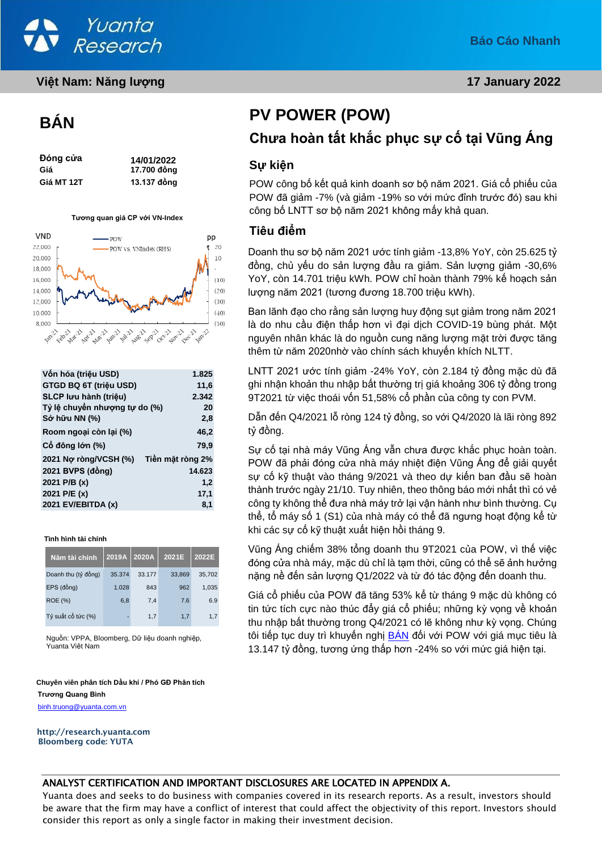

| Đóng cửa   | 14/01/2022  |  |  |
|------------|-------------|--|--|
| Giá        | 17.700 đồng |  |  |
| Giá MT 12T | 13.137 đồng |  |  |





| Vốn hóa (triệu USD)           | 1.825            |
|-------------------------------|------------------|
| GTGD BQ 6T (triệu USD)        | 11,6             |
| SLCP lưu hành (triệu)         | 2.342            |
| Tỷ lệ chuyển nhượng tự do (%) | 20               |
| Sở hữu NN (%)                 | 2,8              |
| Room ngoai còn lai (%)        | 46,2             |
| Cổ đông lớn (%)               | 79.9             |
| 2021 Nợ ròng/VCSH (%)         | Tiền mặt ròng 2% |
| 2021 BVPS (đồng)              | 14.623           |
| 2021 P/B (x)                  | 1.2              |
| 2021 P/E (x)                  | 17,1             |
| 2021 EV/EBITDA (x)            | 8,1              |
|                               |                  |

#### **Tình hình tài chính**

| Năm tài chính       |        | 2019A 2020A | 2021E  | 2022E  |
|---------------------|--------|-------------|--------|--------|
| Doanh thu (tỷ đồng) | 35.374 | 33.177      | 33.869 | 35.702 |
| EPS (đồng)          | 1.028  | 843         | 962    | 1.035  |
| <b>ROE (%)</b>      | 6,8    | 7.4         | 7.6    | 6.9    |
| Tỷ suất cổ tức (%)  |        | 1.7         | 1.7    | 1.7    |

Nguồn: VPPA, Bloomberg, Dữ liệu doanh nghiệp, Yuanta Việt Nam

**Chuyên viên phân tích Dầu khí / Phó GĐ Phân tích**

**Trương Quang Bình**

[binh.truong@yuanta.com.vn](mailto:binh.truong@yuanta.com.vn)

 **[http://research.yuanta.com](http://research.yuanta.com/) Bloomberg code: YUTA**

# **PV POWER (POW)**

## **Chưa hoàn tất khắc phục sự cố tại Vũng Áng**

### **Sự kiện**

POW công bố kết quả kinh doanh sơ bộ năm 2021. Giá cổ phiếu của POW đã giảm -7% (và giảm -19% so với mức đỉnh trước đó) sau khi công bố LNTT sơ bộ năm 2021 không mấy khả quan.

### **Tiêu điểm**

Doanh thu sơ bộ năm 2021 ước tính giảm -13,8% YoY, còn 25.625 tỷ đồng, chủ yếu do sản lượng đầu ra giảm. Sản lượng giảm -30,6% YoY, còn 14.701 triệu kWh. POW chỉ hoàn thành 79% kế hoạch sản lượng năm 2021 (tương đương 18.700 triệu kWh).

Ban lãnh đạo cho rằng sản lượng huy động sụt giảm trong năm 2021 là do nhu cầu điện thấp hơn vì đại dịch COVID-19 bùng phát. Một nguyên nhân khác là do nguồn cung năng lượng mặt trời được tăng thêm từ năm 2020nhờ vào chính sách khuyến khích NLTT.

LNTT 2021 ước tính giảm -24% YoY, còn 2.184 tỷ đồng mặc dù đã ghi nhận khoản thu nhập bất thường trị giá khoảng 306 tỷ đồng trong 9T2021 từ việc thoái vốn 51,58% cổ phần của công ty con PVM.

Dẫn đến Q4/2021 lỗ ròng 124 tỷ đồng, so với Q4/2020 là lãi ròng 892 tỷ đồng.

Sự cố tại nhà máy Vũng Áng vẫn chưa được khắc phục hoàn toàn. POW đã phải đóng cửa nhà máy nhiệt điện Vũng Áng để giải quyết sự cố kỹ thuật vào tháng 9/2021 và theo dự kiến ban đầu sẽ hoàn thành trước ngày 21/10. Tuy nhiên, theo thông báo mới nhất thì có vẻ công ty không thể đưa nhà máy trở lại vận hành như bình thường. Cụ thể, tổ máy số 1 (S1) của nhà máy có thể đã ngưng hoạt động kể từ khi các sự cố kỹ thuật xuất hiện hồi tháng 9.

Vũng Áng chiếm 38% tổng doanh thu 9T2021 của POW, vì thế việc đóng cửa nhà máy, mặc dù chỉ là tạm thời, cũng có thể sẽ ảnh hưởng nặng nề đến sản lượng Q1/2022 và từ đó tác động đến doanh thu.

Giá cổ phiếu của POW đã tăng 53% kể từ tháng 9 mặc dù không có tin tức tích cực nào thúc đẩy giá cổ phiếu; những kỳ vọng về khoản thu nhập bất thường trong Q4/2021 có lẽ không như kỳ vọng. Chúng tôi tiếp tục duy trì khuyến nghị [BÁN](https://yuanta.com.vn/wp-content/uploads/2021/12/20211208-POW-update-edited-2.pdf) đối với POW với giá mục tiêu là 13.147 tỷ đồng, tương ứng thấp hơn -24% so với mức giá hiện tại.

### ANALYST CERTIFICATION AND IMPORTANT DISCLOSURES ARE LOCATED IN APPENDIX A.

Yuanta does and seeks to do business with companies covered in its research reports. As a result, investors should be aware that the firm may have a conflict of interest that could affect the objectivity of this report. Investors should consider this report as only a single factor in making their investment decision.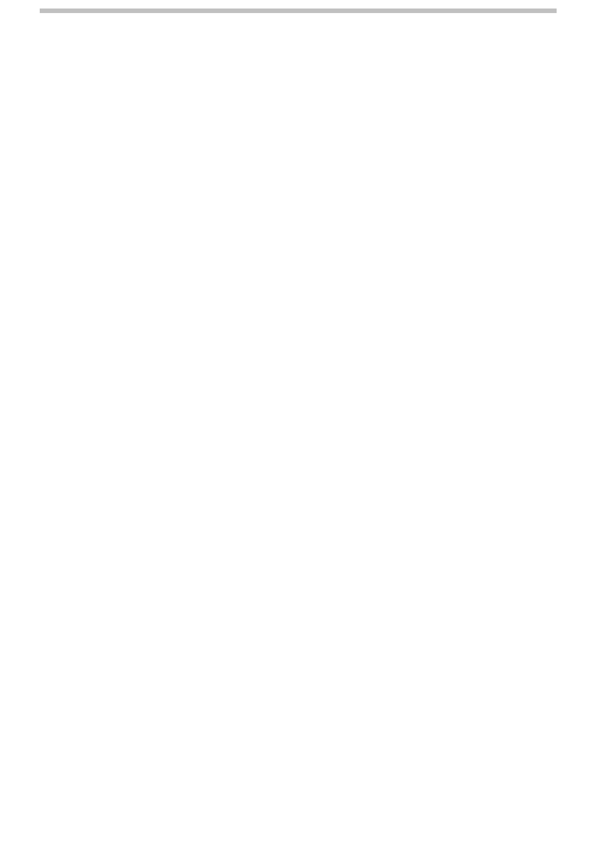and the control of the control of the control of the control of the control of the control of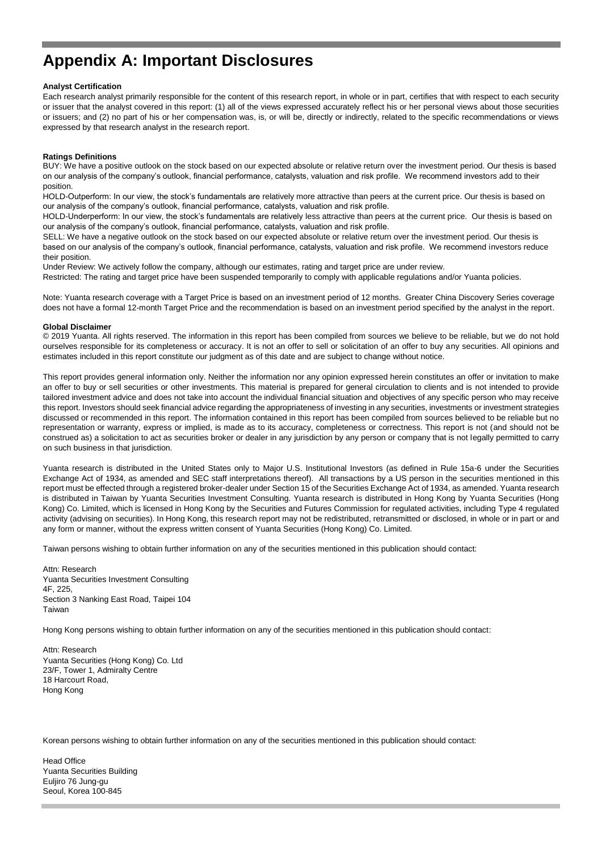## **Appendix A: Important Disclosures**

#### **Analyst Certification**

Each research analyst primarily responsible for the content of this research report, in whole or in part, certifies that with respect to each security or issuer that the analyst covered in this report: (1) all of the views expressed accurately reflect his or her personal views about those securities or issuers; and (2) no part of his or her compensation was, is, or will be, directly or indirectly, related to the specific recommendations or views expressed by that research analyst in the research report.

#### **Ratings Definitions**

BUY: We have a positive outlook on the stock based on our expected absolute or relative return over the investment period. Our thesis is based on our analysis of the company's outlook, financial performance, catalysts, valuation and risk profile. We recommend investors add to their position.

HOLD-Outperform: In our view, the stock's fundamentals are relatively more attractive than peers at the current price. Our thesis is based on our analysis of the company's outlook, financial performance, catalysts, valuation and risk profile.

HOLD-Underperform: In our view, the stock's fundamentals are relatively less attractive than peers at the current price. Our thesis is based on our analysis of the company's outlook, financial performance, catalysts, valuation and risk profile.

SELL: We have a negative outlook on the stock based on our expected absolute or relative return over the investment period. Our thesis is based on our analysis of the company's outlook, financial performance, catalysts, valuation and risk profile. We recommend investors reduce their position.

Under Review: We actively follow the company, although our estimates, rating and target price are under review.

Restricted: The rating and target price have been suspended temporarily to comply with applicable regulations and/or Yuanta policies.

Note: Yuanta research coverage with a Target Price is based on an investment period of 12 months. Greater China Discovery Series coverage does not have a formal 12-month Target Price and the recommendation is based on an investment period specified by the analyst in the report.

#### **Global Disclaimer**

© 2019 Yuanta. All rights reserved. The information in this report has been compiled from sources we believe to be reliable, but we do not hold ourselves responsible for its completeness or accuracy. It is not an offer to sell or solicitation of an offer to buy any securities. All opinions and estimates included in this report constitute our judgment as of this date and are subject to change without notice.

This report provides general information only. Neither the information nor any opinion expressed herein constitutes an offer or invitation to make an offer to buy or sell securities or other investments. This material is prepared for general circulation to clients and is not intended to provide tailored investment advice and does not take into account the individual financial situation and objectives of any specific person who may receive this report. Investors should seek financial advice regarding the appropriateness of investing in any securities, investments or investment strategies discussed or recommended in this report. The information contained in this report has been compiled from sources believed to be reliable but no representation or warranty, express or implied, is made as to its accuracy, completeness or correctness. This report is not (and should not be construed as) a solicitation to act as securities broker or dealer in any jurisdiction by any person or company that is not legally permitted to carry on such business in that jurisdiction.

Yuanta research is distributed in the United States only to Major U.S. Institutional Investors (as defined in Rule 15a-6 under the Securities Exchange Act of 1934, as amended and SEC staff interpretations thereof). All transactions by a US person in the securities mentioned in this report must be effected through a registered broker-dealer under Section 15 of the Securities Exchange Act of 1934, as amended. Yuanta research is distributed in Taiwan by Yuanta Securities Investment Consulting. Yuanta research is distributed in Hong Kong by Yuanta Securities (Hong Kong) Co. Limited, which is licensed in Hong Kong by the Securities and Futures Commission for regulated activities, including Type 4 regulated activity (advising on securities). In Hong Kong, this research report may not be redistributed, retransmitted or disclosed, in whole or in part or and any form or manner, without the express written consent of Yuanta Securities (Hong Kong) Co. Limited.

Taiwan persons wishing to obtain further information on any of the securities mentioned in this publication should contact:

Attn: Research Yuanta Securities Investment Consulting 4F, 225, Section 3 Nanking East Road, Taipei 104 Taiwan

Hong Kong persons wishing to obtain further information on any of the securities mentioned in this publication should contact:

Attn: Research Yuanta Securities (Hong Kong) Co. Ltd 23/F, Tower 1, Admiralty Centre 18 Harcourt Road, Hong Kong

Korean persons wishing to obtain further information on any of the securities mentioned in this publication should contact:

Head Office Yuanta Securities Building Euljiro 76 Jung-gu Seoul, Korea 100-845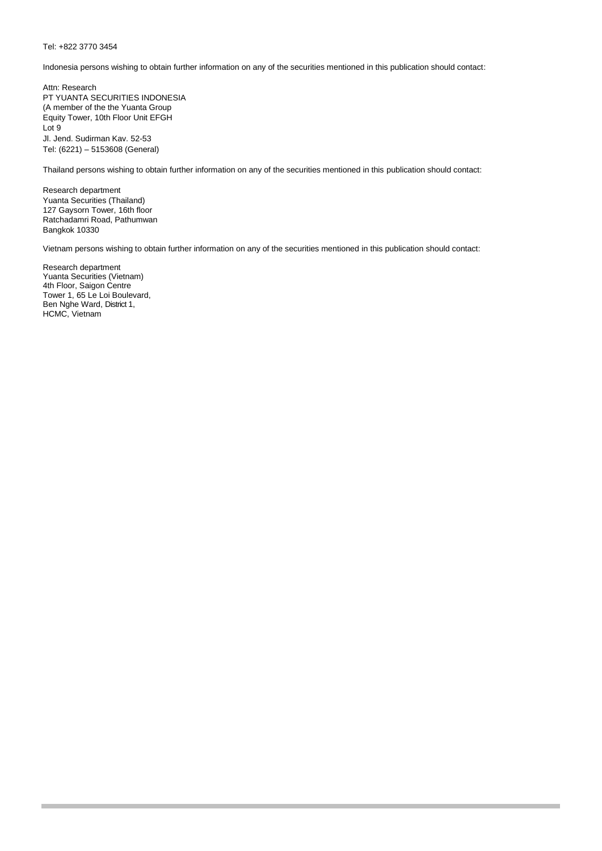#### Tel: +822 3770 3454

Indonesia persons wishing to obtain further information on any of the securities mentioned in this publication should contact:

Attn: Research PT YUANTA SECURITIES INDONESIA (A member of the the Yuanta Group Equity Tower, 10th Floor Unit EFGH Lot 9 Jl. Jend. Sudirman Kav. 52-53 Tel: (6221) – 5153608 (General)

Thailand persons wishing to obtain further information on any of the securities mentioned in this publication should contact:

Research department Yuanta Securities (Thailand) 127 Gaysorn Tower, 16th floor Ratchadamri Road, Pathumwan Bangkok 10330

Vietnam persons wishing to obtain further information on any of the securities mentioned in this publication should contact:

Research department Yuanta Securities (Vietnam) 4th Floor, Saigon Centre Tower 1, 65 Le Loi Boulevard, Ben Nghe Ward, District 1, HCMC, Vietnam